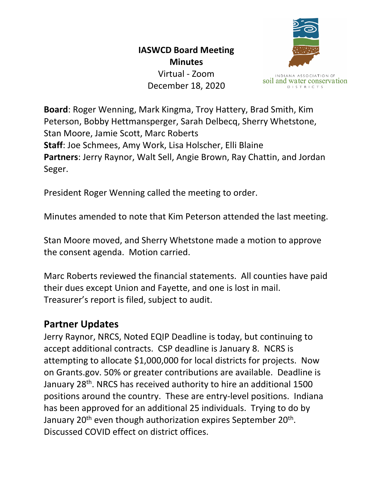## **IASWCD Board Meeting Minutes**

Virtual - Zoom December 18, 2020



soil and water conservation **DISTRICTS** 

**Board**: Roger Wenning, Mark Kingma, Troy Hattery, Brad Smith, Kim Peterson, Bobby Hettmansperger, Sarah Delbecq, Sherry Whetstone, Stan Moore, Jamie Scott, Marc Roberts **Staff**: Joe Schmees, Amy Work, Lisa Holscher, Elli Blaine **Partners**: Jerry Raynor, Walt Sell, Angie Brown, Ray Chattin, and Jordan Seger.

President Roger Wenning called the meeting to order.

Minutes amended to note that Kim Peterson attended the last meeting.

Stan Moore moved, and Sherry Whetstone made a motion to approve the consent agenda. Motion carried.

Marc Roberts reviewed the financial statements. All counties have paid their dues except Union and Fayette, and one is lost in mail. Treasurer's report is filed, subject to audit.

## **Partner Updates**

Jerry Raynor, NRCS, Noted EQIP Deadline is today, but continuing to accept additional contracts. CSP deadline is January 8. NCRS is attempting to allocate \$1,000,000 for local districts for projects. Now on Grants.gov. 50% or greater contributions are available. Deadline is January 28th. NRCS has received authority to hire an additional 1500 positions around the country. These are entry-level positions. Indiana has been approved for an additional 25 individuals. Trying to do by January  $20<sup>th</sup>$  even though authorization expires September  $20<sup>th</sup>$ . Discussed COVID effect on district offices.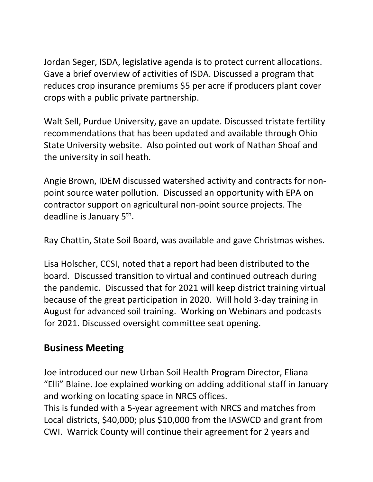Jordan Seger, ISDA, legislative agenda is to protect current allocations. Gave a brief overview of activities of ISDA. Discussed a program that reduces crop insurance premiums \$5 per acre if producers plant cover crops with a public private partnership.

Walt Sell, Purdue University, gave an update. Discussed tristate fertility recommendations that has been updated and available through Ohio State University website. Also pointed out work of Nathan Shoaf and the university in soil heath.

Angie Brown, IDEM discussed watershed activity and contracts for nonpoint source water pollution. Discussed an opportunity with EPA on contractor support on agricultural non-point source projects. The deadline is January 5<sup>th</sup>.

Ray Chattin, State Soil Board, was available and gave Christmas wishes.

Lisa Holscher, CCSI, noted that a report had been distributed to the board. Discussed transition to virtual and continued outreach during the pandemic. Discussed that for 2021 will keep district training virtual because of the great participation in 2020. Will hold 3-day training in August for advanced soil training. Working on Webinars and podcasts for 2021. Discussed oversight committee seat opening.

## **Business Meeting**

Joe introduced our new Urban Soil Health Program Director, Eliana "Elli" Blaine. Joe explained working on adding additional staff in January and working on locating space in NRCS offices.

This is funded with a 5-year agreement with NRCS and matches from Local districts, \$40,000; plus \$10,000 from the IASWCD and grant from CWI. Warrick County will continue their agreement for 2 years and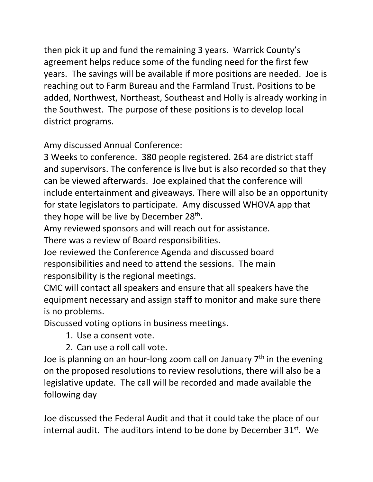then pick it up and fund the remaining 3 years. Warrick County's agreement helps reduce some of the funding need for the first few years. The savings will be available if more positions are needed. Joe is reaching out to Farm Bureau and the Farmland Trust. Positions to be added, Northwest, Northeast, Southeast and Holly is already working in the Southwest. The purpose of these positions is to develop local district programs.

Amy discussed Annual Conference:

3 Weeks to conference. 380 people registered. 264 are district staff and supervisors. The conference is live but is also recorded so that they can be viewed afterwards. Joe explained that the conference will include entertainment and giveaways. There will also be an opportunity for state legislators to participate. Amy discussed WHOVA app that they hope will be live by December  $28<sup>th</sup>$ .

Amy reviewed sponsors and will reach out for assistance.

There was a review of Board responsibilities.

Joe reviewed the Conference Agenda and discussed board responsibilities and need to attend the sessions. The main responsibility is the regional meetings.

CMC will contact all speakers and ensure that all speakers have the equipment necessary and assign staff to monitor and make sure there is no problems.

Discussed voting options in business meetings.

- 1. Use a consent vote.
- 2. Can use a roll call vote.

Joe is planning on an hour-long zoom call on January 7<sup>th</sup> in the evening on the proposed resolutions to review resolutions, there will also be a legislative update. The call will be recorded and made available the following day

Joe discussed the Federal Audit and that it could take the place of our internal audit. The auditors intend to be done by December  $31^{st}$ . We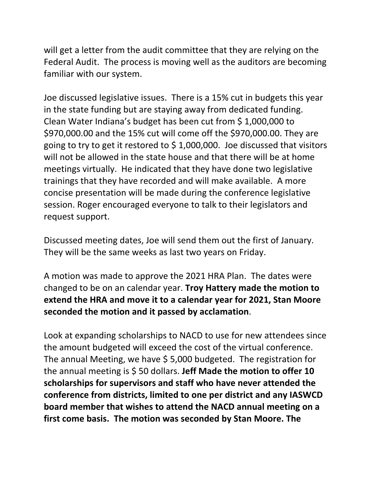will get a letter from the audit committee that they are relying on the Federal Audit. The process is moving well as the auditors are becoming familiar with our system.

Joe discussed legislative issues. There is a 15% cut in budgets this year in the state funding but are staying away from dedicated funding. Clean Water Indiana's budget has been cut from \$ 1,000,000 to \$970,000.00 and the 15% cut will come off the \$970,000.00. They are going to try to get it restored to  $\frac{2}{3}$  1,000,000. Joe discussed that visitors will not be allowed in the state house and that there will be at home meetings virtually. He indicated that they have done two legislative trainings that they have recorded and will make available. A more concise presentation will be made during the conference legislative session. Roger encouraged everyone to talk to their legislators and request support.

Discussed meeting dates, Joe will send them out the first of January. They will be the same weeks as last two years on Friday.

A motion was made to approve the 2021 HRA Plan. The dates were changed to be on an calendar year. **Troy Hattery made the motion to extend the HRA and move it to a calendar year for 2021, Stan Moore seconded the motion and it passed by acclamation**.

Look at expanding scholarships to NACD to use for new attendees since the amount budgeted will exceed the cost of the virtual conference. The annual Meeting, we have \$ 5,000 budgeted. The registration for the annual meeting is \$ 50 dollars. **Jeff Made the motion to offer 10 scholarships for supervisors and staff who have never attended the conference from districts, limited to one per district and any IASWCD board member that wishes to attend the NACD annual meeting on a first come basis. The motion was seconded by Stan Moore. The**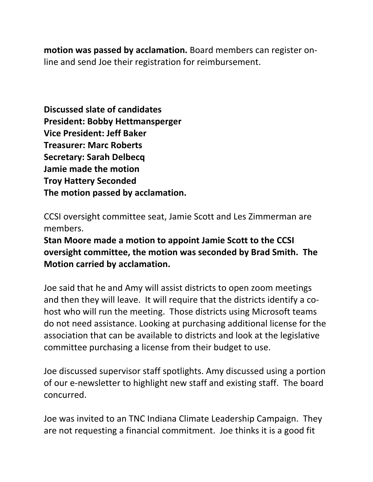**motion was passed by acclamation.** Board members can register online and send Joe their registration for reimbursement.

**Discussed slate of candidates President: Bobby Hettmansperger Vice President: Jeff Baker Treasurer: Marc Roberts Secretary: Sarah Delbecq Jamie made the motion Troy Hattery Seconded The motion passed by acclamation.**

CCSI oversight committee seat, Jamie Scott and Les Zimmerman are members.

**Stan Moore made a motion to appoint Jamie Scott to the CCSI oversight committee, the motion was seconded by Brad Smith. The Motion carried by acclamation.**

Joe said that he and Amy will assist districts to open zoom meetings and then they will leave. It will require that the districts identify a cohost who will run the meeting. Those districts using Microsoft teams do not need assistance. Looking at purchasing additional license for the association that can be available to districts and look at the legislative committee purchasing a license from their budget to use.

Joe discussed supervisor staff spotlights. Amy discussed using a portion of our e-newsletter to highlight new staff and existing staff. The board concurred.

Joe was invited to an TNC Indiana Climate Leadership Campaign. They are not requesting a financial commitment. Joe thinks it is a good fit